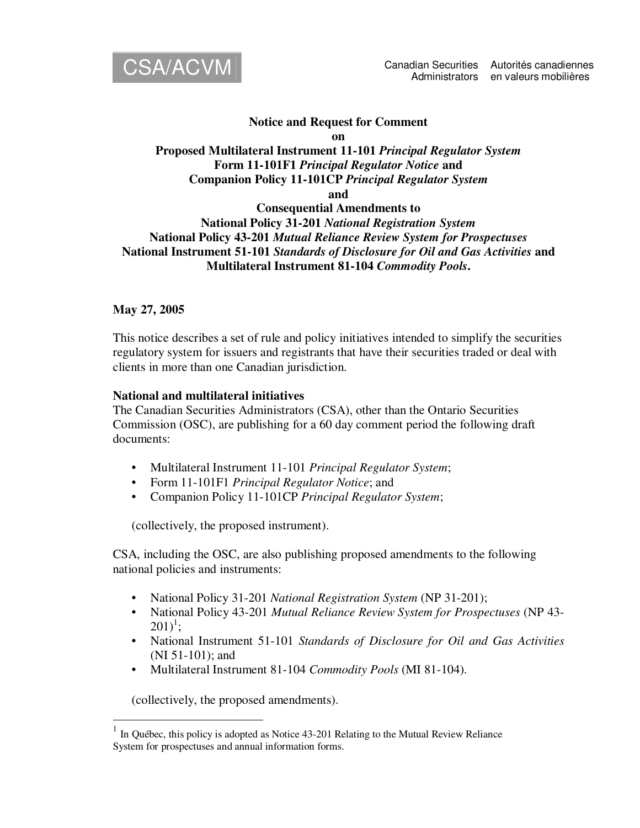

#### **Notice and Request for Comment on**

# **Proposed Multilateral Instrument 11-101** *Principal Regulator System* **Form 11-101F1** *Principal Regulator Notice* **and Companion Policy 11-101CP** *Principal Regulator System*

**and**

# **Consequential Amendments to National Policy 31-201** *National Registration System* **National Policy 43-201** *Mutual Reliance Review System for Prospectuses* **National Instrument 51-101** *Standards of Disclosure for Oil and Gas Activities* **and Multilateral Instrument 81-104** *Commodity Pools***.**

## **May 27, 2005**

This notice describes a set of rule and policy initiatives intended to simplify the securities regulatory system for issuers and registrants that have their securities traded or deal with clients in more than one Canadian jurisdiction.

### **National and multilateral initiatives**

The Canadian Securities Administrators (CSA), other than the Ontario Securities Commission (OSC), are publishing for a 60 day comment period the following draft documents:

- Multilateral Instrument 11-101 *Principal Regulator System*;
- Form 11-101F1 *Principal Regulator Notice*; and
- Companion Policy 11-101CP *Principal Regulator System*;

(collectively, the proposed instrument).

CSA, including the OSC, are also publishing proposed amendments to the following national policies and instruments:

- National Policy 31-201 *National Registration System* (NP 31-201);
- National Policy 43-201 *Mutual Reliance Review System for Prospectuses* (NP 43-  $201)^1$ ;
- National Instrument 51-101 *Standards of Disclosure for Oil and Gas Activities* (NI 51-101); and
- Multilateral Instrument 81-104 *Commodity Pools* (MI 81-104).

(collectively, the proposed amendments).

<sup>1</sup> In Québec, this policy is adopted as Notice 43-201 Relating to the Mutual Review Reliance System for prospectuses and annual information forms.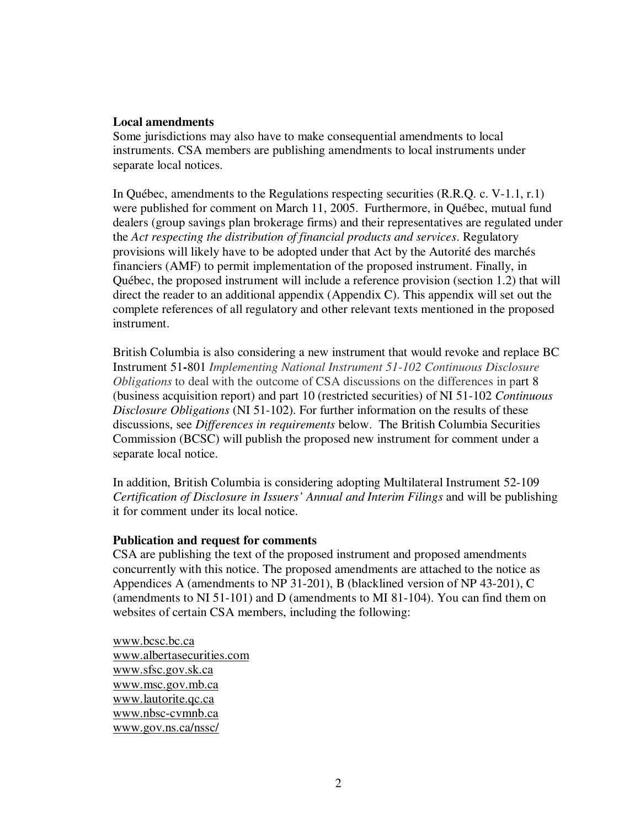#### **Local amendments**

Some jurisdictions may also have to make consequential amendments to local instruments. CSA members are publishing amendments to local instruments under separate local notices.

In Québec, amendments to the Regulations respecting securities (R.R.Q. c. V-1.1, r.1) were published for comment on March 11, 2005. Furthermore, in Québec, mutual fund dealers (group savings plan brokerage firms) and their representatives are regulated under the *Act respecting the distribution of financial products and services*. Regulatory provisions will likely have to be adopted under that Act by the Autorité des marchés financiers (AMF) to permit implementation of the proposed instrument. Finally, in Québec, the proposed instrument will include a reference provision (section 1.2) that will direct the reader to an additional appendix (Appendix C). This appendix will set out the complete references of all regulatory and other relevant texts mentioned in the proposed instrument.

British Columbia is also considering a new instrument that would revoke and replace BC Instrument 51**-**801 *Implementing National Instrument 51-102 Continuous Disclosure Obligations* to deal with the outcome of CSA discussions on the differences in part 8 (business acquisition report) and part 10 (restricted securities) of NI 51-102 *Continuous Disclosure Obligations* (NI 51-102). For further information on the results of these discussions, see *Differences in requirements* below. The British Columbia Securities Commission (BCSC) will publish the proposed new instrument for comment under a separate local notice.

In addition, British Columbia is considering adopting Multilateral Instrument 52-109 *Certification of Disclosure in Issuers' Annual and Interim Filings* and will be publishing it for comment under its local notice.

### **Publication and request for comments**

CSA are publishing the text of the proposed instrument and proposed amendments concurrently with this notice. The proposed amendments are attached to the notice as Appendices A (amendments to NP 31-201), B (blacklined version of NP 43-201), C (amendments to NI 51-101) and D (amendments to MI 81-104). You can find them on websites of certain CSA members, including the following:

www.bcsc.bc.ca www.albertasecurities.com www.sfsc.gov.sk.ca www.msc.gov.mb.ca www.lautorite.qc.ca www.nbsc-cvmnb.ca www.gov.ns.ca/nssc/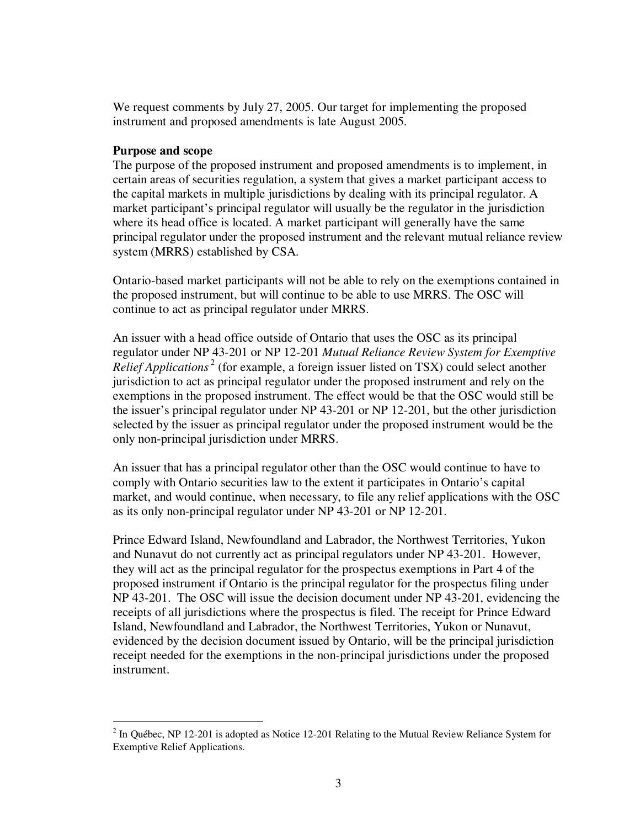We request comments by July 27, 2005. Our target for implementing the proposed instrument and proposed amendments is late August 2005.

#### **Purpose and scope**

The purpose of the proposed instrument and proposed amendments is to implement, in certain areas of securities regulation, a system that gives a market participant access to the capital markets in multiple jurisdictions by dealing with its principal regulator. A market participant's principal regulator will usually be the regulator in the jurisdiction where its head office is located. A market participant will generally have the same principal regulator under the proposed instrument and the relevant mutual reliance review system (MRRS) established by CSA.

Ontario-based market participants will not be able to rely on the exemptions contained in the proposed instrument, but will continue to be able to use MRRS. The OSC will continue to act as principal regulator under MRRS.

An issuer with a head office outside of Ontario that uses the OSC as its principal regulator under NP 43-201 or NP 12-201 *Mutual Reliance Review System for Exemptive Relief Applications* 2 (for example, a foreign issuer listed on TSX) could select another jurisdiction to act as principal regulator under the proposed instrument and rely on the exemptions in the proposed instrument. The effect would be that the OSC would still be the issuer's principal regulator under NP 43-201 or NP 12-201, but the other jurisdiction selected by the issuer as principal regulator under the proposed instrument would be the only non-principal jurisdiction under MRRS.

An issuer that has a principal regulator other than the OSC would continue to have to comply with Ontario securities law to the extent it participates in Ontario's capital market, and would continue, when necessary, to file any relief applications with the OSC as its only non-principal regulator under NP 43-201 or NP 12-201.

Prince Edward Island, Newfoundland and Labrador, the Northwest Territories, Yukon and Nunavut do not currently act as principal regulators under NP 43-201. However, they will act as the principal regulator for the prospectus exemptions in Part 4 of the proposed instrument if Ontario is the principal regulator for the prospectus filing under NP 43-201. The OSC will issue the decision document under NP 43-201, evidencing the receipts of all jurisdictions where the prospectus is filed. The receipt for Prince Edward Island, Newfoundland and Labrador, the Northwest Territories, Yukon or Nunavut, evidenced by the decision document issued by Ontario, will be the principal jurisdiction receipt needed for the exemptions in the non-principal jurisdictions under the proposed instrument.

<sup>&</sup>lt;sup>2</sup> In Québec, NP 12-201 is adopted as Notice 12-201 Relating to the Mutual Review Reliance System for Exemptive Relief Applications.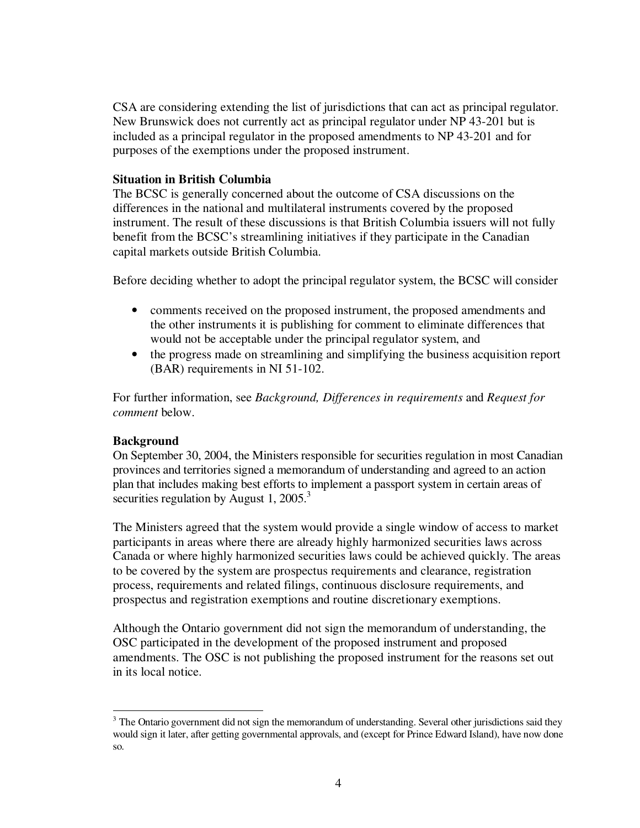CSA are considering extending the list of jurisdictions that can act as principal regulator. New Brunswick does not currently act as principal regulator under NP 43-201 but is included as a principal regulator in the proposed amendments to NP 43-201 and for purposes of the exemptions under the proposed instrument.

#### **Situation in British Columbia**

The BCSC is generally concerned about the outcome of CSA discussions on the differences in the national and multilateral instruments covered by the proposed instrument. The result of these discussions is that British Columbia issuers will not fully benefit from the BCSC's streamlining initiatives if they participate in the Canadian capital markets outside British Columbia.

Before deciding whether to adopt the principal regulator system, the BCSC will consider

- comments received on the proposed instrument, the proposed amendments and the other instruments it is publishing for comment to eliminate differences that would not be acceptable under the principal regulator system, and
- the progress made on streamlining and simplifying the business acquisition report (BAR) requirements in NI 51-102.

For further information, see *Background, Differences in requirements* and *Request for comment* below.

### **Background**

On September 30, 2004, the Ministers responsible for securities regulation in most Canadian provinces and territories signed a memorandum of understanding and agreed to an action plan that includes making best efforts to implement a passport system in certain areas of securities regulation by August 1, 2005.<sup>3</sup>

The Ministers agreed that the system would provide a single window of access to market participants in areas where there are already highly harmonized securities laws across Canada or where highly harmonized securities laws could be achieved quickly. The areas to be covered by the system are prospectus requirements and clearance, registration process, requirements and related filings, continuous disclosure requirements, and prospectus and registration exemptions and routine discretionary exemptions.

Although the Ontario government did not sign the memorandum of understanding, the OSC participated in the development of the proposed instrument and proposed amendments. The OSC is not publishing the proposed instrument for the reasons set out in its local notice.

 $3$  The Ontario government did not sign the memorandum of understanding. Several other jurisdictions said they would sign it later, after getting governmental approvals, and (except for Prince Edward Island), have now done so.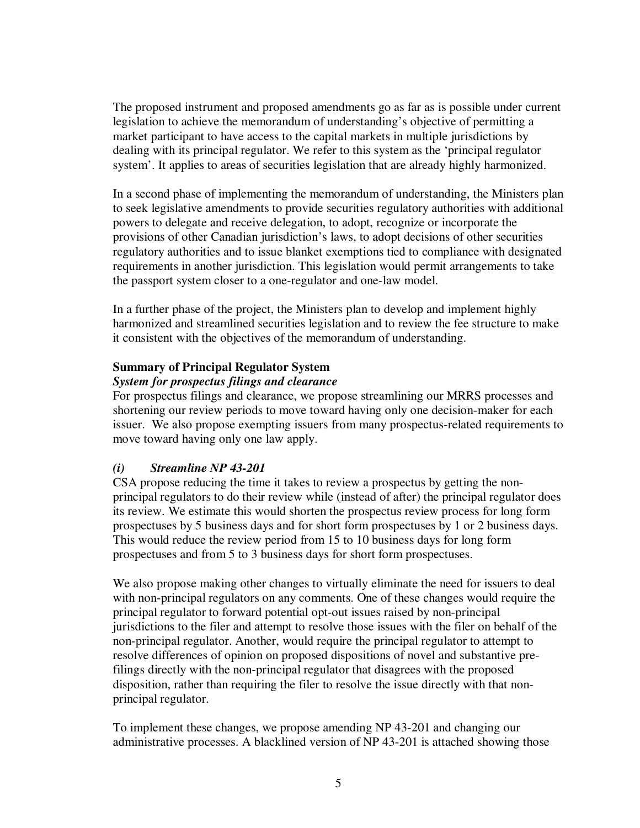The proposed instrument and proposed amendments go as far as is possible under current legislation to achieve the memorandum of understanding's objective of permitting a market participant to have access to the capital markets in multiple jurisdictions by dealing with its principal regulator. We refer to this system as the 'principal regulator system'. It applies to areas of securities legislation that are already highly harmonized.

In a second phase of implementing the memorandum of understanding, the Ministers plan to seek legislative amendments to provide securities regulatory authorities with additional powers to delegate and receive delegation, to adopt, recognize or incorporate the provisions of other Canadian jurisdiction's laws, to adopt decisions of other securities regulatory authorities and to issue blanket exemptions tied to compliance with designated requirements in another jurisdiction. This legislation would permit arrangements to take the passport system closer to a one-regulator and one-law model.

In a further phase of the project, the Ministers plan to develop and implement highly harmonized and streamlined securities legislation and to review the fee structure to make it consistent with the objectives of the memorandum of understanding.

## **Summary of Principal Regulator System**

### *System for prospectus filings and clearance*

For prospectus filings and clearance, we propose streamlining our MRRS processes and shortening our review periods to move toward having only one decision-maker for each issuer. We also propose exempting issuers from many prospectus-related requirements to move toward having only one law apply.

# *(i) Streamline NP 43-201*

CSA propose reducing the time it takes to review a prospectus by getting the nonprincipal regulators to do their review while (instead of after) the principal regulator does its review. We estimate this would shorten the prospectus review process for long form prospectuses by 5 business days and for short form prospectuses by 1 or 2 business days. This would reduce the review period from 15 to 10 business days for long form prospectuses and from 5 to 3 business days for short form prospectuses.

We also propose making other changes to virtually eliminate the need for issuers to deal with non-principal regulators on any comments. One of these changes would require the principal regulator to forward potential opt-out issues raised by non-principal jurisdictions to the filer and attempt to resolve those issues with the filer on behalf of the non-principal regulator. Another, would require the principal regulator to attempt to resolve differences of opinion on proposed dispositions of novel and substantive prefilings directly with the non-principal regulator that disagrees with the proposed disposition, rather than requiring the filer to resolve the issue directly with that nonprincipal regulator.

To implement these changes, we propose amending NP 43-201 and changing our administrative processes. A blacklined version of NP 43-201 is attached showing those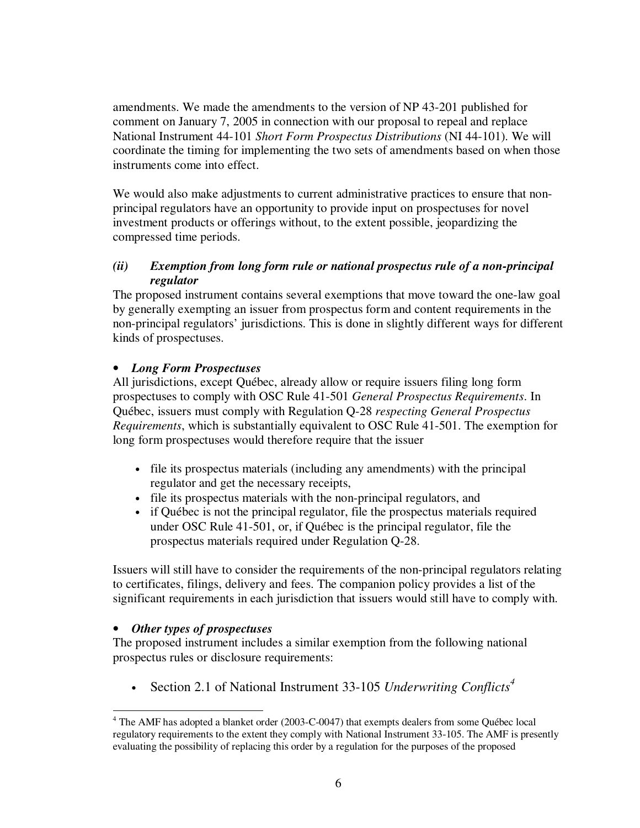amendments. We made the amendments to the version of NP 43-201 published for comment on January 7, 2005 in connection with our proposal to repeal and replace National Instrument 44-101 *Short Form Prospectus Distributions* (NI 44-101). We will coordinate the timing for implementing the two sets of amendments based on when those instruments come into effect.

We would also make adjustments to current administrative practices to ensure that nonprincipal regulators have an opportunity to provide input on prospectuses for novel investment products or offerings without, to the extent possible, jeopardizing the compressed time periods.

## *(ii) Exemption from long form rule or national prospectus rule of a non-principal regulator*

The proposed instrument contains several exemptions that move toward the one-law goal by generally exempting an issuer from prospectus form and content requirements in the non-principal regulators' jurisdictions. This is done in slightly different ways for different kinds of prospectuses.

# • *Long Form Prospectuses*

All jurisdictions, except Québec, already allow or require issuers filing long form prospectuses to comply with OSC Rule 41-501 *General Prospectus Requirements*. In Québec, issuers must comply with Regulation Q-28 *respecting General Prospectus Requirements*, which is substantially equivalent to OSC Rule 41-501. The exemption for long form prospectuses would therefore require that the issuer

- file its prospectus materials (including any amendments) with the principal regulator and get the necessary receipts,
- file its prospectus materials with the non-principal regulators, and
- if Québec is not the principal regulator, file the prospectus materials required under OSC Rule 41-501, or, if Québec is the principal regulator, file the prospectus materials required under Regulation Q-28.

Issuers will still have to consider the requirements of the non-principal regulators relating to certificates, filings, delivery and fees. The companion policy provides a list of the significant requirements in each jurisdiction that issuers would still have to comply with.

# • *Other types of prospectuses*

The proposed instrument includes a similar exemption from the following national prospectus rules or disclosure requirements:

• Section 2.1 of National Instrument 33-105 *Underwriting Conflicts 4*

<sup>&</sup>lt;sup>4</sup> The AMF has adopted a blanket order (2003-C-0047) that exempts dealers from some Québec local regulatory requirements to the extent they comply with National Instrument 33-105. The AMF is presently evaluating the possibility of replacing this order by a regulation for the purposes of the proposed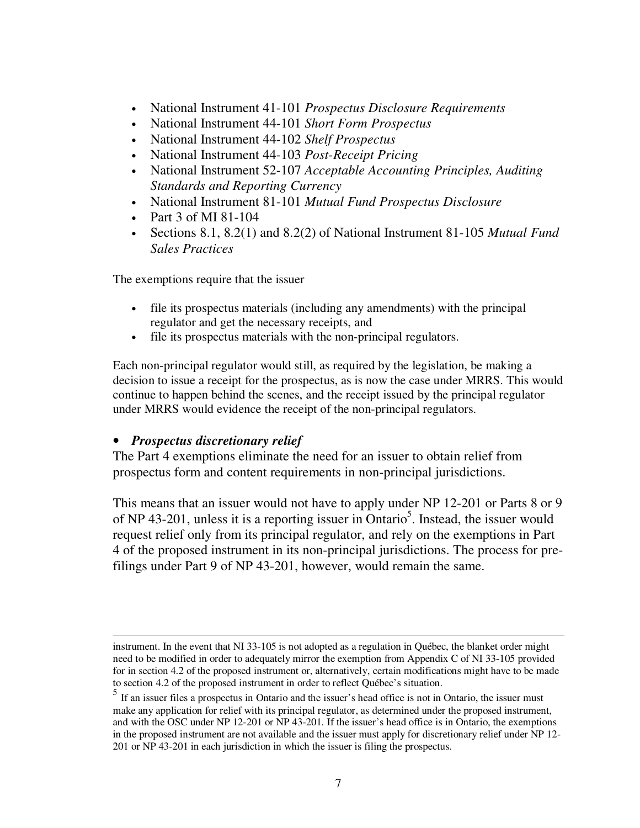- National Instrument 41-101 *Prospectus Disclosure Requirements*
- National Instrument 44-101 *Short Form Prospectus*
- National Instrument 44-102 *Shelf Prospectus*
- National Instrument 44-103 *Post-Receipt Pricing*
- National Instrument 52-107 *Acceptable Accounting Principles, Auditing Standards and Reporting Currency*
- National Instrument 81-101 *Mutual Fund Prospectus Disclosure*
- Part 3 of MI 81-104
- Sections 8.1, 8.2(1) and 8.2(2) of National Instrument 81-105 *Mutual Fund Sales Practices*

The exemptions require that the issuer

- file its prospectus materials (including any amendments) with the principal regulator and get the necessary receipts, and
- file its prospectus materials with the non-principal regulators.

Each non-principal regulator would still, as required by the legislation, be making a decision to issue a receipt for the prospectus, as is now the case under MRRS. This would continue to happen behind the scenes, and the receipt issued by the principal regulator under MRRS would evidence the receipt of the non-principal regulators.

# • *Prospectus discretionary relief*

The Part 4 exemptions eliminate the need for an issuer to obtain relief from prospectus form and content requirements in non-principal jurisdictions.

This means that an issuer would not have to apply under NP 12-201 or Parts 8 or 9 of NP 43-201, unless it is a reporting issuer in Ontario<sup>5</sup>. Instead, the issuer would request relief only from its principal regulator, and rely on the exemptions in Part 4 of the proposed instrument in its non-principal jurisdictions. The process for prefilings under Part 9 of NP 43-201, however, would remain the same.

instrument. In the event that NI 33-105 is not adopted as a regulation in Québec, the blanket order might need to be modified in order to adequately mirror the exemption from Appendix C of NI 33-105 provided for in section 4.2 of the proposed instrument or, alternatively, certain modifications might have to be made to section 4.2 of the proposed instrument in order to reflect Québec's situation.

<sup>&</sup>lt;sup>5</sup> If an issuer files a prospectus in Ontario and the issuer's head office is not in Ontario, the issuer must make any application for relief with its principal regulator, as determined under the proposed instrument, and with the OSC under NP 12-201 or NP 43-201. If the issuer's head office is in Ontario, the exemptions in the proposed instrument are not available and the issuer must apply for discretionary relief under NP 12- 201 or NP 43-201 in each jurisdiction in which the issuer is filing the prospectus.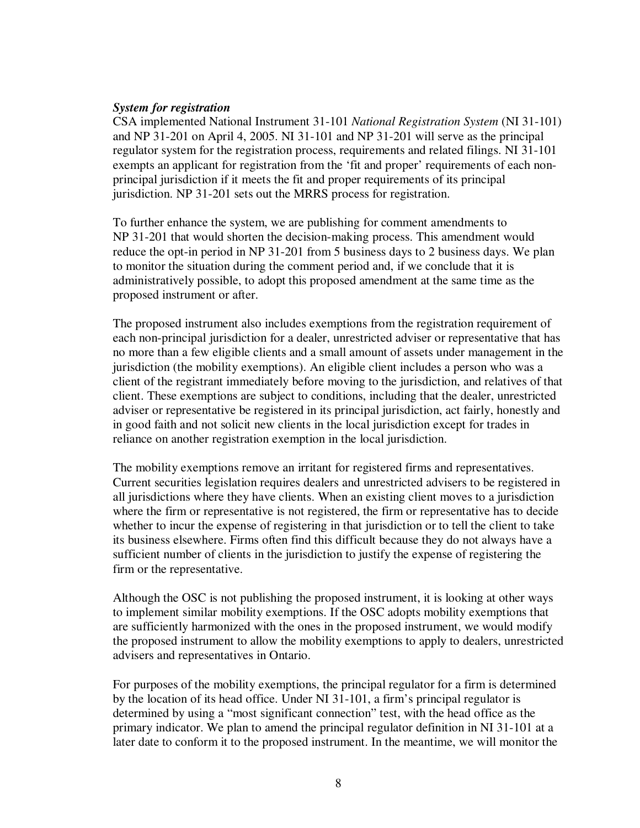#### *System for registration*

CSA implemented National Instrument 31-101 *National Registration System* (NI 31-101) and NP 31-201 on April 4, 2005. NI 31-101 and NP 31-201 will serve as the principal regulator system for the registration process, requirements and related filings. NI 31-101 exempts an applicant for registration from the 'fit and proper' requirements of each nonprincipal jurisdiction if it meets the fit and proper requirements of its principal jurisdiction. NP 31-201 sets out the MRRS process for registration.

To further enhance the system, we are publishing for comment amendments to NP 31-201 that would shorten the decision-making process. This amendment would reduce the opt-in period in NP 31-201 from 5 business days to 2 business days. We plan to monitor the situation during the comment period and, if we conclude that it is administratively possible, to adopt this proposed amendment at the same time as the proposed instrument or after.

The proposed instrument also includes exemptions from the registration requirement of each non-principal jurisdiction for a dealer, unrestricted adviser or representative that has no more than a few eligible clients and a small amount of assets under management in the jurisdiction (the mobility exemptions). An eligible client includes a person who was a client of the registrant immediately before moving to the jurisdiction, and relatives of that client. These exemptions are subject to conditions, including that the dealer, unrestricted adviser or representative be registered in its principal jurisdiction, act fairly, honestly and in good faith and not solicit new clients in the local jurisdiction except for trades in reliance on another registration exemption in the local jurisdiction.

The mobility exemptions remove an irritant for registered firms and representatives. Current securities legislation requires dealers and unrestricted advisers to be registered in all jurisdictions where they have clients. When an existing client moves to a jurisdiction where the firm or representative is not registered, the firm or representative has to decide whether to incur the expense of registering in that jurisdiction or to tell the client to take its business elsewhere. Firms often find this difficult because they do not always have a sufficient number of clients in the jurisdiction to justify the expense of registering the firm or the representative.

Although the OSC is not publishing the proposed instrument, it is looking at other ways to implement similar mobility exemptions. If the OSC adopts mobility exemptions that are sufficiently harmonized with the ones in the proposed instrument, we would modify the proposed instrument to allow the mobility exemptions to apply to dealers, unrestricted advisers and representatives in Ontario.

For purposes of the mobility exemptions, the principal regulator for a firm is determined by the location of its head office. Under NI 31-101, a firm's principal regulator is determined by using a "most significant connection" test, with the head office as the primary indicator. We plan to amend the principal regulator definition in NI 31-101 at a later date to conform it to the proposed instrument. In the meantime, we will monitor the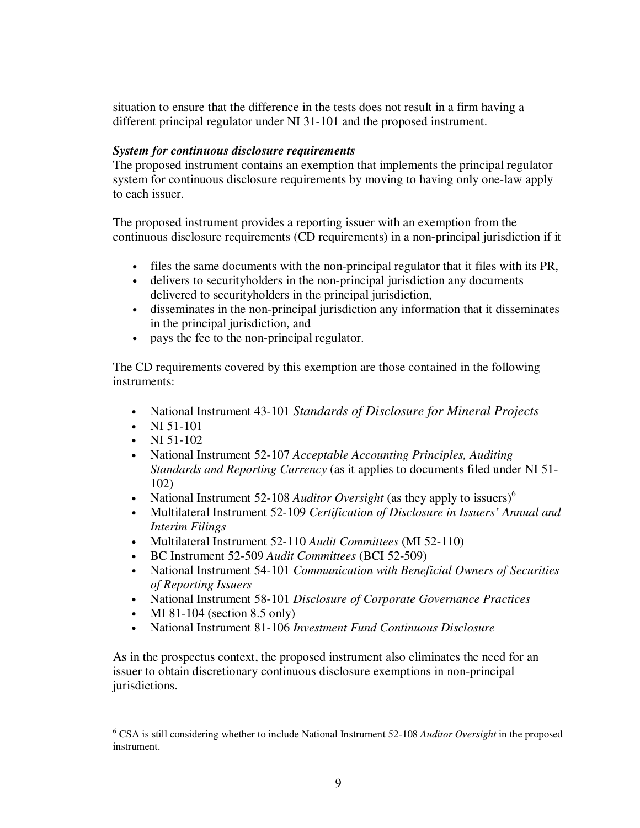situation to ensure that the difference in the tests does not result in a firm having a different principal regulator under NI 31-101 and the proposed instrument.

### *System for continuous disclosure requirements*

The proposed instrument contains an exemption that implements the principal regulator system for continuous disclosure requirements by moving to having only one-law apply to each issuer.

The proposed instrument provides a reporting issuer with an exemption from the continuous disclosure requirements (CD requirements) in a non-principal jurisdiction if it

- files the same documents with the non-principal regulator that it files with its PR,
- delivers to securityholders in the non-principal jurisdiction any documents delivered to securityholders in the principal jurisdiction,
- disseminates in the non-principal jurisdiction any information that it disseminates in the principal jurisdiction, and
- pays the fee to the non-principal regulator.

The CD requirements covered by this exemption are those contained in the following instruments:

- National Instrument 43-101 *Standards of Disclosure for Mineral Projects*
- NI 51-101
- NI  $51-102$
- National Instrument 52-107 *Acceptable Accounting Principles, Auditing Standards and Reporting Currency* (as it applies to documents filed under NI 51- 102)
- National Instrument 52-108 *Auditor Oversight* (as they apply to issuers)<sup>6</sup>
- Multilateral Instrument 52-109 *Certification of Disclosure in Issuers' Annual and Interim Filings*
- Multilateral Instrument 52-110 *Audit Committees* (MI 52-110)
- BC Instrument 52-509 *Audit Committees* (BCI 52-509)
- National Instrument 54-101 *Communication with Beneficial Owners of Securities of Reporting Issuers*
- National Instrument 58-101 *Disclosure of Corporate Governance Practices*
- MI 81-104 (section 8.5 only)
- National Instrument 81-106 *Investment Fund Continuous Disclosure*

As in the prospectus context, the proposed instrument also eliminates the need for an issuer to obtain discretionary continuous disclosure exemptions in non-principal jurisdictions.

<sup>6</sup> CSA is still considering whether to include National Instrument 52-108 *Auditor Oversight* in the proposed instrument.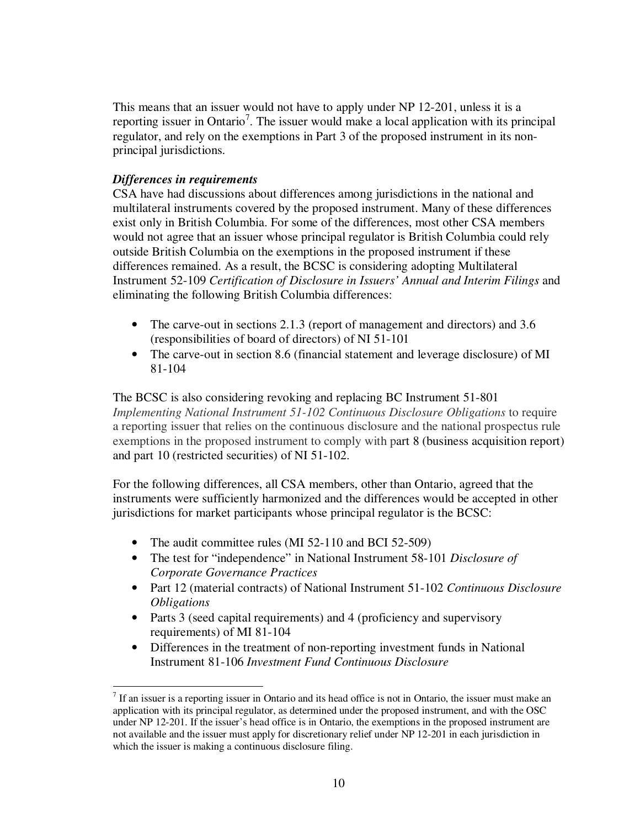This means that an issuer would not have to apply under NP 12-201, unless it is a reporting issuer in Ontario<sup>7</sup>. The issuer would make a local application with its principal regulator, and rely on the exemptions in Part 3 of the proposed instrument in its nonprincipal jurisdictions.

### *Differences in requirements*

CSA have had discussions about differences among jurisdictions in the national and multilateral instruments covered by the proposed instrument. Many of these differences exist only in British Columbia. For some of the differences, most other CSA members would not agree that an issuer whose principal regulator is British Columbia could rely outside British Columbia on the exemptions in the proposed instrument if these differences remained. As a result, the BCSC is considering adopting Multilateral Instrument 52-109 *Certification of Disclosure in Issuers' Annual and Interim Filings* and eliminating the following British Columbia differences:

- The carve-out in sections 2.1.3 (report of management and directors) and 3.6 (responsibilities of board of directors) of NI 51-101
- The carve-out in section 8.6 (financial statement and leverage disclosure) of MI 81-104

The BCSC is also considering revoking and replacing BC Instrument 51-801 *Implementing National Instrument 51-102 Continuous Disclosure Obligations* to require a reporting issuer that relies on the continuous disclosure and the national prospectus rule exemptions in the proposed instrument to comply with part 8 (business acquisition report) and part 10 (restricted securities) of NI 51-102.

For the following differences, all CSA members, other than Ontario, agreed that the instruments were sufficiently harmonized and the differences would be accepted in other jurisdictions for market participants whose principal regulator is the BCSC:

- The audit committee rules (MI 52-110 and BCI 52-509)
- The test for "independence" in National Instrument 58-101 *Disclosure of Corporate Governance Practices*
- Part 12 (material contracts) of National Instrument 51-102 *Continuous Disclosure Obligations*
- Parts 3 (seed capital requirements) and 4 (proficiency and supervisory requirements) of MI 81-104
- Differences in the treatment of non-reporting investment funds in National Instrument 81-106 *Investment Fund Continuous Disclosure*

 $<sup>7</sup>$  If an issuer is a reporting issuer in Ontario and its head office is not in Ontario, the issuer must make an</sup> application with its principal regulator, as determined under the proposed instrument, and with the OSC under NP 12-201. If the issuer's head office is in Ontario, the exemptions in the proposed instrument are not available and the issuer must apply for discretionary relief under NP 12-201 in each jurisdiction in which the issuer is making a continuous disclosure filing.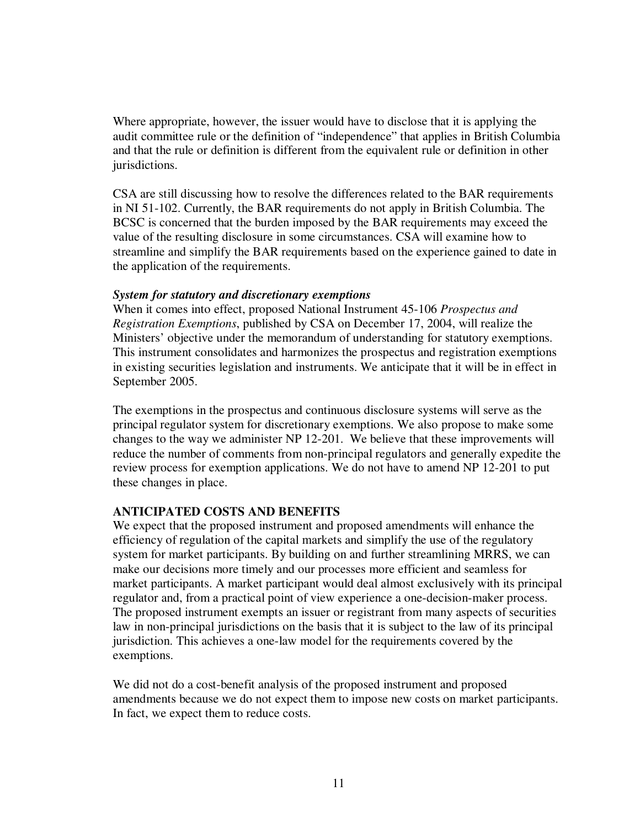Where appropriate, however, the issuer would have to disclose that it is applying the audit committee rule or the definition of "independence" that applies in British Columbia and that the rule or definition is different from the equivalent rule or definition in other jurisdictions.

CSA are still discussing how to resolve the differences related to the BAR requirements in NI 51-102. Currently, the BAR requirements do not apply in British Columbia. The BCSC is concerned that the burden imposed by the BAR requirements may exceed the value of the resulting disclosure in some circumstances. CSA will examine how to streamline and simplify the BAR requirements based on the experience gained to date in the application of the requirements.

#### *System for statutory and discretionary exemptions*

When it comes into effect, proposed National Instrument 45-106 *Prospectus and Registration Exemptions*, published by CSA on December 17, 2004, will realize the Ministers' objective under the memorandum of understanding for statutory exemptions. This instrument consolidates and harmonizes the prospectus and registration exemptions in existing securities legislation and instruments. We anticipate that it will be in effect in September 2005.

The exemptions in the prospectus and continuous disclosure systems will serve as the principal regulator system for discretionary exemptions. We also propose to make some changes to the way we administer NP 12-201. We believe that these improvements will reduce the number of comments from non-principal regulators and generally expedite the review process for exemption applications. We do not have to amend NP 12-201 to put these changes in place.

### **ANTICIPATED COSTS AND BENEFITS**

We expect that the proposed instrument and proposed amendments will enhance the efficiency of regulation of the capital markets and simplify the use of the regulatory system for market participants. By building on and further streamlining MRRS, we can make our decisions more timely and our processes more efficient and seamless for market participants. A market participant would deal almost exclusively with its principal regulator and, from a practical point of view experience a one-decision-maker process. The proposed instrument exempts an issuer or registrant from many aspects of securities law in non-principal jurisdictions on the basis that it is subject to the law of its principal jurisdiction. This achieves a one-law model for the requirements covered by the exemptions.

We did not do a cost-benefit analysis of the proposed instrument and proposed amendments because we do not expect them to impose new costs on market participants. In fact, we expect them to reduce costs.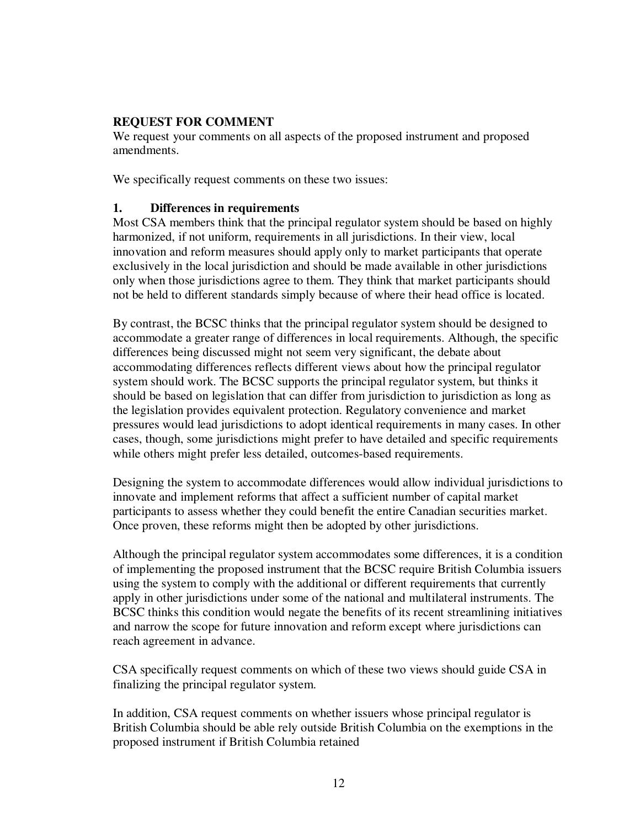### **REQUEST FOR COMMENT**

We request your comments on all aspects of the proposed instrument and proposed amendments.

We specifically request comments on these two issues:

### **1. Differences in requirements**

Most CSA members think that the principal regulator system should be based on highly harmonized, if not uniform, requirements in all jurisdictions. In their view, local innovation and reform measures should apply only to market participants that operate exclusively in the local jurisdiction and should be made available in other jurisdictions only when those jurisdictions agree to them. They think that market participants should not be held to different standards simply because of where their head office is located.

By contrast, the BCSC thinks that the principal regulator system should be designed to accommodate a greater range of differences in local requirements. Although, the specific differences being discussed might not seem very significant, the debate about accommodating differences reflects different views about how the principal regulator system should work. The BCSC supports the principal regulator system, but thinks it should be based on legislation that can differ from jurisdiction to jurisdiction as long as the legislation provides equivalent protection. Regulatory convenience and market pressures would lead jurisdictions to adopt identical requirements in many cases. In other cases, though, some jurisdictions might prefer to have detailed and specific requirements while others might prefer less detailed, outcomes-based requirements.

Designing the system to accommodate differences would allow individual jurisdictions to innovate and implement reforms that affect a sufficient number of capital market participants to assess whether they could benefit the entire Canadian securities market. Once proven, these reforms might then be adopted by other jurisdictions.

Although the principal regulator system accommodates some differences, it is a condition of implementing the proposed instrument that the BCSC require British Columbia issuers using the system to comply with the additional or different requirements that currently apply in other jurisdictions under some of the national and multilateral instruments. The BCSC thinks this condition would negate the benefits of its recent streamlining initiatives and narrow the scope for future innovation and reform except where jurisdictions can reach agreement in advance.

CSA specifically request comments on which of these two views should guide CSA in finalizing the principal regulator system.

In addition, CSA request comments on whether issuers whose principal regulator is British Columbia should be able rely outside British Columbia on the exemptions in the proposed instrument if British Columbia retained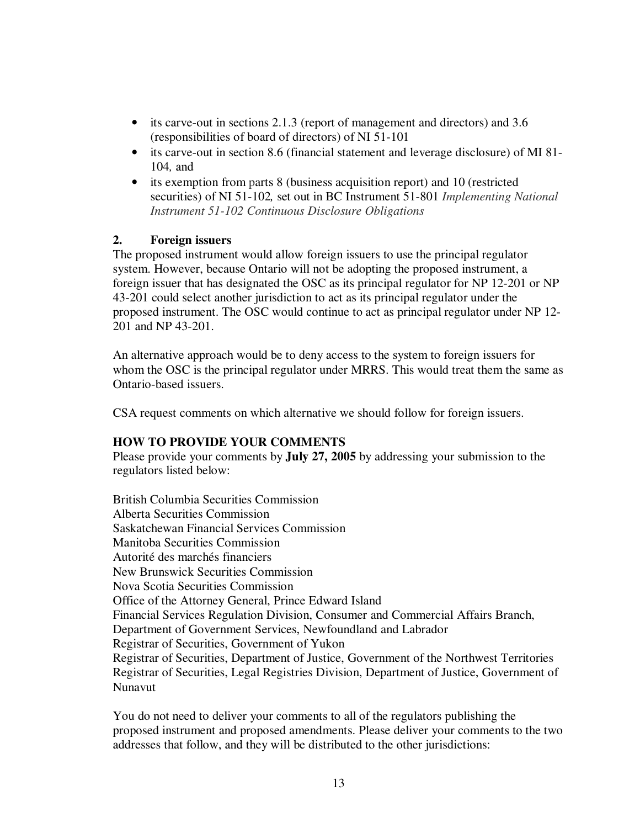- its carve-out in sections 2.1.3 (report of management and directors) and 3.6 (responsibilities of board of directors) of NI 51-101
- its carve-out in section 8.6 (financial statement and leverage disclosure) of MI 81- 104*,* and
- its exemption from parts 8 (business acquisition report) and 10 (restricted securities) of NI 51-102*,* set out in BC Instrument 51-801 *Implementing National Instrument 51-102 Continuous Disclosure Obligations*

## **2. Foreign issuers**

The proposed instrument would allow foreign issuers to use the principal regulator system. However, because Ontario will not be adopting the proposed instrument, a foreign issuer that has designated the OSC as its principal regulator for NP 12-201 or NP 43-201 could select another jurisdiction to act as its principal regulator under the proposed instrument. The OSC would continue to act as principal regulator under NP 12- 201 and NP 43-201.

An alternative approach would be to deny access to the system to foreign issuers for whom the OSC is the principal regulator under MRRS. This would treat them the same as Ontario-based issuers.

CSA request comments on which alternative we should follow for foreign issuers.

### **HOW TO PROVIDE YOUR COMMENTS**

Please provide your comments by **July 27, 2005** by addressing your submission to the regulators listed below:

British Columbia Securities Commission Alberta Securities Commission Saskatchewan Financial Services Commission Manitoba Securities Commission Autorité des marchés financiers New Brunswick Securities Commission Nova Scotia Securities Commission Office of the Attorney General, Prince Edward Island Financial Services Regulation Division, Consumer and Commercial Affairs Branch, Department of Government Services, Newfoundland and Labrador Registrar of Securities, Government of Yukon Registrar of Securities, Department of Justice, Government of the Northwest Territories Registrar of Securities, Legal Registries Division, Department of Justice, Government of Nunavut

You do not need to deliver your comments to all of the regulators publishing the proposed instrument and proposed amendments. Please deliver your comments to the two addresses that follow, and they will be distributed to the other jurisdictions: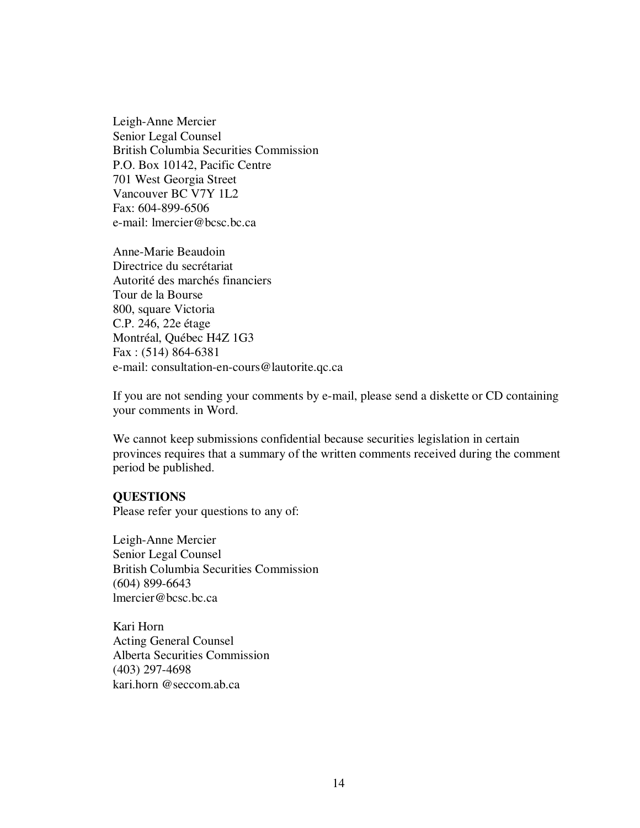Leigh-Anne Mercier Senior Legal Counsel British Columbia Securities Commission P.O. Box 10142, Pacific Centre 701 West Georgia Street Vancouver BC V7Y 1L2 Fax: 604-899-6506 e-mail: lmercier@bcsc.bc.ca

Anne-Marie Beaudoin Directrice du secrétariat Autorité des marchés financiers Tour de la Bourse 800, square Victoria C.P. 246, 22e étage Montréal, Québec H4Z 1G3 Fax : (514) 864-6381 e-mail: consultation-en-cours@lautorite.qc.ca

If you are not sending your comments by e-mail, please send a diskette or CD containing your comments in Word.

We cannot keep submissions confidential because securities legislation in certain provinces requires that a summary of the written comments received during the comment period be published.

#### **QUESTIONS**

Please refer your questions to any of:

Leigh-Anne Mercier Senior Legal Counsel British Columbia Securities Commission (604) 899-6643 lmercier@bcsc.bc.ca

Kari Horn Acting General Counsel Alberta Securities Commission (403) 297-4698 kari.horn @seccom.ab.ca